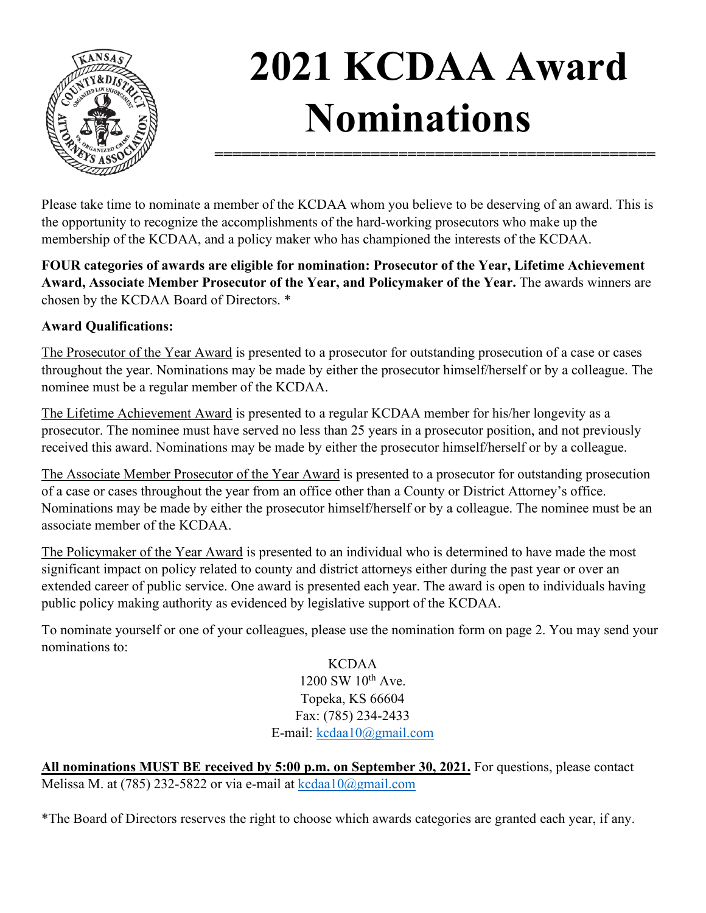

## **2021 KCDAA Award Nominations**

**================================================**

Please take time to nominate a member of the KCDAA whom you believe to be deserving of an award. This is the opportunity to recognize the accomplishments of the hard-working prosecutors who make up the membership of the KCDAA, and a policy maker who has championed the interests of the KCDAA.

**FOUR categories of awards are eligible for nomination: Prosecutor of the Year, Lifetime Achievement Award, Associate Member Prosecutor of the Year, and Policymaker of the Year.** The awards winners are chosen by the KCDAA Board of Directors. \*

## **Award Qualifications:**

The Prosecutor of the Year Award is presented to a prosecutor for outstanding prosecution of a case or cases throughout the year. Nominations may be made by either the prosecutor himself/herself or by a colleague. The nominee must be a regular member of the KCDAA.

The Lifetime Achievement Award is presented to a regular KCDAA member for his/her longevity as a prosecutor. The nominee must have served no less than 25 years in a prosecutor position, and not previously received this award. Nominations may be made by either the prosecutor himself/herself or by a colleague.

The Associate Member Prosecutor of the Year Award is presented to a prosecutor for outstanding prosecution of a case or cases throughout the year from an office other than a County or District Attorney's office. Nominations may be made by either the prosecutor himself/herself or by a colleague. The nominee must be an associate member of the KCDAA.

The Policymaker of the Year Award is presented to an individual who is determined to have made the most significant impact on policy related to county and district attorneys either during the past year or over an extended career of public service. One award is presented each year. The award is open to individuals having public policy making authority as evidenced by legislative support of the KCDAA.

To nominate yourself or one of your colleagues, please use the nomination form on page 2. You may send your nominations to:

KCDAA  $1200 \text{ SW } 10^{\text{th}}$  Ave. Topeka, KS 66604 Fax: (785) 234-2433 E-mail: [kcdaa10@gmail.com](mailto:kcdaa10@gmail.com)

**All nominations MUST BE received by 5:00 p.m. on September 30, 2021.** For questions, please contact Melissa M. at (785) 232-5822 or via e-mail at [kcdaa10@gmail.com](mailto:kcdaa10@gmail.com) 

\*The Board of Directors reserves the right to choose which awards categories are granted each year, if any.